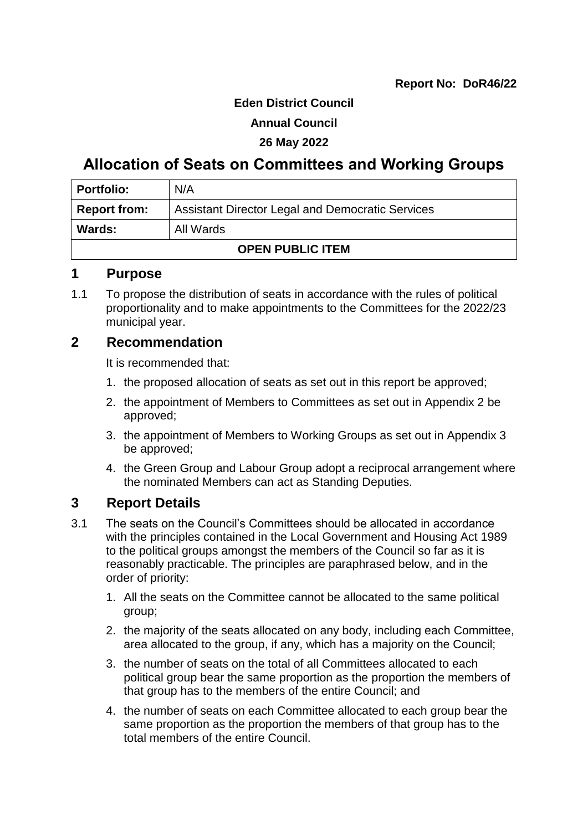#### **Eden District Council**

#### **Annual Council**

#### **26 May 2022**

# **Allocation of Seats on Committees and Working Groups**

| <b>Portfolio:</b>       | N/A                                                     |
|-------------------------|---------------------------------------------------------|
| <b>Report from:</b>     | <b>Assistant Director Legal and Democratic Services</b> |
| Wards:                  | All Wards                                               |
| <b>OPEN PUBLIC ITEM</b> |                                                         |

### **1 Purpose**

1.1 To propose the distribution of seats in accordance with the rules of political proportionality and to make appointments to the Committees for the 2022/23 municipal year.

### **2 Recommendation**

It is recommended that:

- 1. the proposed allocation of seats as set out in this report be approved;
- 2. the appointment of Members to Committees as set out in Appendix 2 be approved;
- 3. the appointment of Members to Working Groups as set out in Appendix 3 be approved;
- 4. the Green Group and Labour Group adopt a reciprocal arrangement where the nominated Members can act as Standing Deputies.

# **3 Report Details**

- 3.1 The seats on the Council's Committees should be allocated in accordance with the principles contained in the Local Government and Housing Act 1989 to the political groups amongst the members of the Council so far as it is reasonably practicable. The principles are paraphrased below, and in the order of priority:
	- 1. All the seats on the Committee cannot be allocated to the same political group;
	- 2. the majority of the seats allocated on any body, including each Committee, area allocated to the group, if any, which has a majority on the Council;
	- 3. the number of seats on the total of all Committees allocated to each political group bear the same proportion as the proportion the members of that group has to the members of the entire Council; and
	- 4. the number of seats on each Committee allocated to each group bear the same proportion as the proportion the members of that group has to the total members of the entire Council.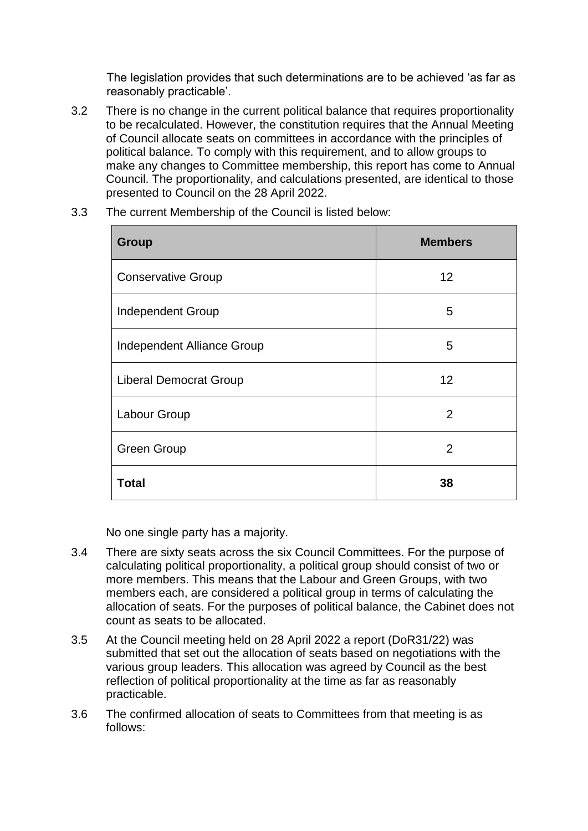The legislation provides that such determinations are to be achieved 'as far as reasonably practicable'.

3.2 There is no change in the current political balance that requires proportionality to be recalculated. However, the constitution requires that the Annual Meeting of Council allocate seats on committees in accordance with the principles of political balance. To comply with this requirement, and to allow groups to make any changes to Committee membership, this report has come to Annual Council. The proportionality, and calculations presented, are identical to those presented to Council on the 28 April 2022.

| <b>Group</b>                  | <b>Members</b> |
|-------------------------------|----------------|
| <b>Conservative Group</b>     | 12             |
| <b>Independent Group</b>      | 5              |
| Independent Alliance Group    | 5              |
| <b>Liberal Democrat Group</b> | 12             |
| Labour Group                  | $\overline{2}$ |
| <b>Green Group</b>            | $\overline{2}$ |
| <b>Total</b>                  | 38             |

3.3 The current Membership of the Council is listed below:

No one single party has a majority.

- 3.4 There are sixty seats across the six Council Committees. For the purpose of calculating political proportionality, a political group should consist of two or more members. This means that the Labour and Green Groups, with two members each, are considered a political group in terms of calculating the allocation of seats. For the purposes of political balance, the Cabinet does not count as seats to be allocated.
- 3.5 At the Council meeting held on 28 April 2022 a report (DoR31/22) was submitted that set out the allocation of seats based on negotiations with the various group leaders. This allocation was agreed by Council as the best reflection of political proportionality at the time as far as reasonably practicable.
- 3.6 The confirmed allocation of seats to Committees from that meeting is as follows: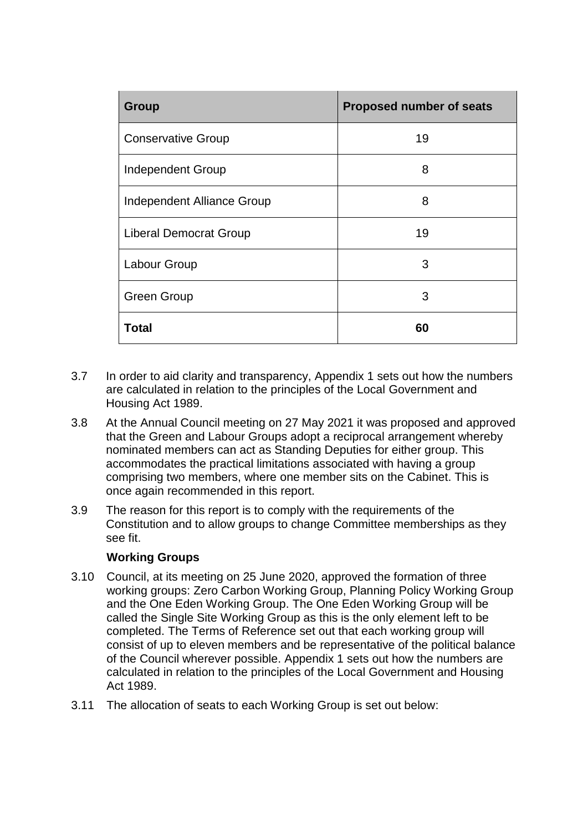| <b>Group</b>                      | <b>Proposed number of seats</b> |
|-----------------------------------|---------------------------------|
| <b>Conservative Group</b>         | 19                              |
| <b>Independent Group</b>          | 8                               |
| <b>Independent Alliance Group</b> | 8                               |
| <b>Liberal Democrat Group</b>     | 19                              |
| Labour Group                      | 3                               |
| <b>Green Group</b>                | 3                               |
| <b>Total</b>                      | 60                              |

- 3.7 In order to aid clarity and transparency, Appendix 1 sets out how the numbers are calculated in relation to the principles of the Local Government and Housing Act 1989.
- 3.8 At the Annual Council meeting on 27 May 2021 it was proposed and approved that the Green and Labour Groups adopt a reciprocal arrangement whereby nominated members can act as Standing Deputies for either group. This accommodates the practical limitations associated with having a group comprising two members, where one member sits on the Cabinet. This is once again recommended in this report.
- 3.9 The reason for this report is to comply with the requirements of the Constitution and to allow groups to change Committee memberships as they see fit.

### **Working Groups**

- 3.10 Council, at its meeting on 25 June 2020, approved the formation of three working groups: Zero Carbon Working Group, Planning Policy Working Group and the One Eden Working Group. The One Eden Working Group will be called the Single Site Working Group as this is the only element left to be completed. The Terms of Reference set out that each working group will consist of up to eleven members and be representative of the political balance of the Council wherever possible. Appendix 1 sets out how the numbers are calculated in relation to the principles of the Local Government and Housing Act 1989.
- 3.11 The allocation of seats to each Working Group is set out below: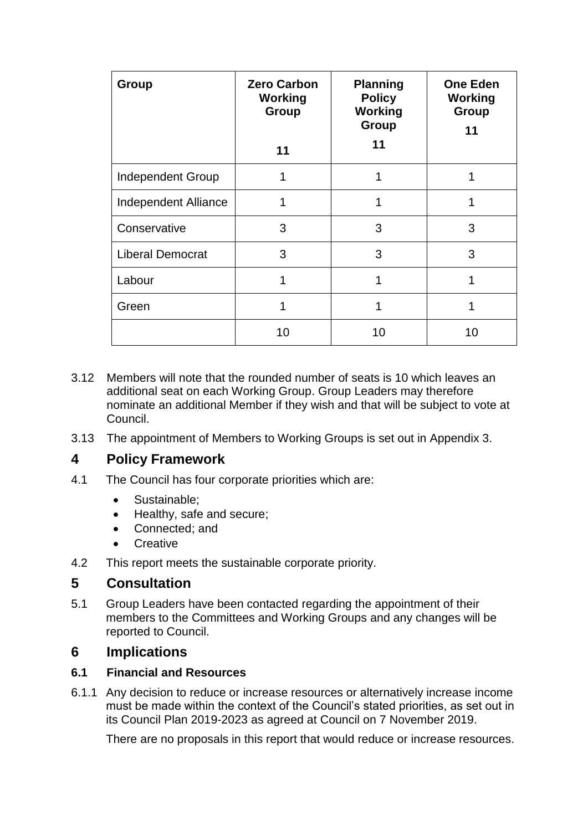| Group                    | <b>Zero Carbon</b><br><b>Working</b><br><b>Group</b> | <b>Planning</b><br><b>Policy</b><br><b>Working</b><br><b>Group</b> | <b>One Eden</b><br><b>Working</b><br>Group<br>11 |
|--------------------------|------------------------------------------------------|--------------------------------------------------------------------|--------------------------------------------------|
|                          | 11                                                   | 11                                                                 |                                                  |
| <b>Independent Group</b> |                                                      | 1                                                                  |                                                  |
| Independent Alliance     | 1                                                    | 1                                                                  | 1                                                |
| Conservative             | 3                                                    | 3                                                                  | 3                                                |
| <b>Liberal Democrat</b>  | 3                                                    | 3                                                                  | 3                                                |
| Labour                   | 1                                                    | 1                                                                  | 1                                                |
| Green                    | 1                                                    | 1                                                                  |                                                  |
|                          | 10                                                   | 10                                                                 | 10                                               |

- 3.12 Members will note that the rounded number of seats is 10 which leaves an additional seat on each Working Group. Group Leaders may therefore nominate an additional Member if they wish and that will be subject to vote at Council.
- 3.13 The appointment of Members to Working Groups is set out in Appendix 3.

# **4 Policy Framework**

- 4.1 The Council has four corporate priorities which are:
	- Sustainable;
	- Healthy, safe and secure;
	- Connected; and
	- **Creative**
- 4.2 This report meets the sustainable corporate priority.

# **5 Consultation**

5.1 Group Leaders have been contacted regarding the appointment of their members to the Committees and Working Groups and any changes will be reported to Council.

### **6 Implications**

#### **6.1 Financial and Resources**

6.1.1 Any decision to reduce or increase resources or alternatively increase income must be made within the context of the Council's stated priorities, as set out in its Council Plan 2019-2023 as agreed at Council on 7 November 2019.

There are no proposals in this report that would reduce or increase resources.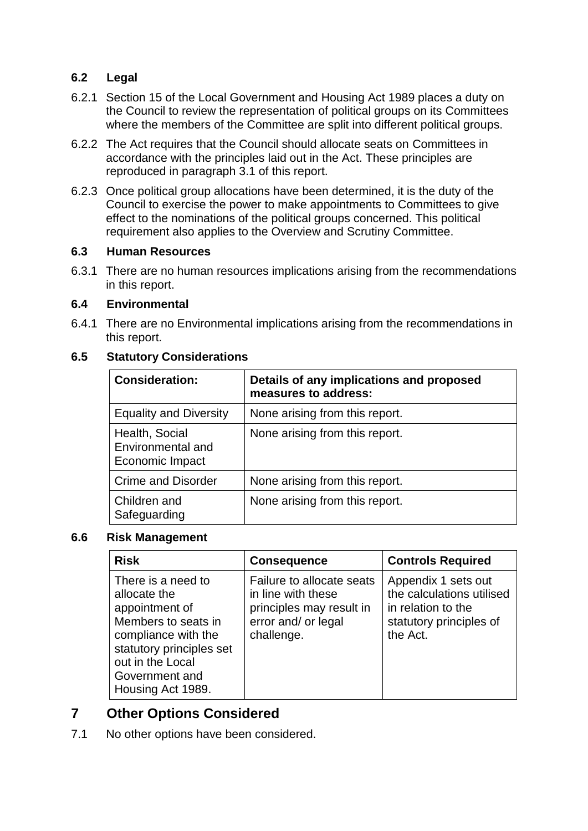### **6.2 Legal**

- 6.2.1 Section 15 of the Local Government and Housing Act 1989 places a duty on the Council to review the representation of political groups on its Committees where the members of the Committee are split into different political groups.
- 6.2.2 The Act requires that the Council should allocate seats on Committees in accordance with the principles laid out in the Act. These principles are reproduced in paragraph 3.1 of this report.
- 6.2.3 Once political group allocations have been determined, it is the duty of the Council to exercise the power to make appointments to Committees to give effect to the nominations of the political groups concerned. This political requirement also applies to the Overview and Scrutiny Committee.

#### **6.3 Human Resources**

6.3.1 There are no human resources implications arising from the recommendations in this report.

#### **6.4 Environmental**

6.4.1 There are no Environmental implications arising from the recommendations in this report.

#### **6.5 Statutory Considerations**

| <b>Consideration:</b>                                  | Details of any implications and proposed<br>measures to address: |
|--------------------------------------------------------|------------------------------------------------------------------|
| <b>Equality and Diversity</b>                          | None arising from this report.                                   |
| Health, Social<br>Environmental and<br>Economic Impact | None arising from this report.                                   |
| <b>Crime and Disorder</b>                              | None arising from this report.                                   |
| Children and<br>Safeguarding                           | None arising from this report.                                   |

#### **6.6 Risk Management**

| <b>Risk</b>                                                                                                                                                                               | <b>Consequence</b>                                                                                               | <b>Controls Required</b>                                                                                      |
|-------------------------------------------------------------------------------------------------------------------------------------------------------------------------------------------|------------------------------------------------------------------------------------------------------------------|---------------------------------------------------------------------------------------------------------------|
| There is a need to<br>allocate the<br>appointment of<br>Members to seats in<br>compliance with the<br>statutory principles set<br>out in the Local<br>Government and<br>Housing Act 1989. | Failure to allocate seats<br>in line with these<br>principles may result in<br>error and/ or legal<br>challenge. | Appendix 1 sets out<br>the calculations utilised<br>in relation to the<br>statutory principles of<br>the Act. |

# **7 Other Options Considered**

7.1 No other options have been considered.